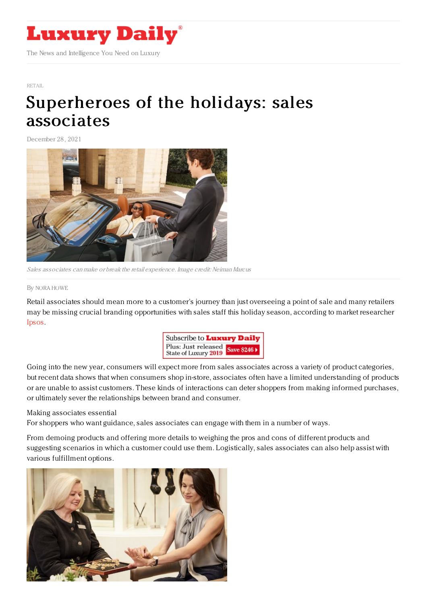

[RETAIL](https://www.luxurydaily.com/category/sectors/retail-industry-sectors/)

## [Superheroes](https://www.luxurydaily.com/superheroes-of-the-holidays-sales-associates/) of the holidays: sales associates

December 28, 2021



Sales associates can make or break the retail experience. Image credit: Neiman Marcus

## By NORA [HOWE](file:///author/nora-howe)

Retail associates should mean more to a customer's journey than just overseeing a point of sale and many retailers may be missing crucial branding opportunities with sales staff this holiday season, according to market researcher [Ipsos.](https://www.ipsos.com/en)



Going into the new year, consumers will expect more from sales associates across a variety of product categories, but recent data shows that when consumers shop in-store, associates often have a limited understanding of products or are unable to assist customers. These kinds of interactions can deter shoppers from making informed purchases, or ultimately sever the relationships between brand and consumer.

## Making associates essential

For shoppers who want guidance, sales associates can engage with them in a number of ways.

From demoing products and offering more details to weighing the pros and cons of different products and suggesting scenarios in which a customer could use them. Logistically, sales associates can also help assist with various fulfillment options.